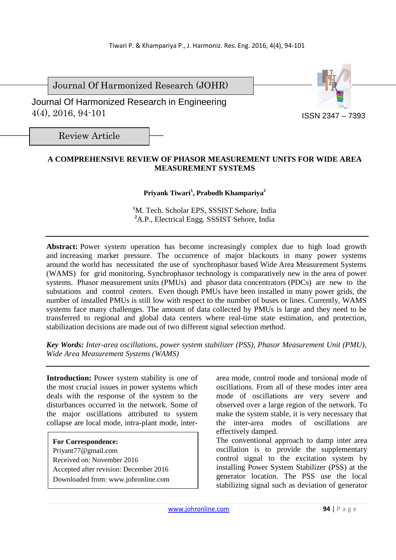Journal Of Harmonized Research (JOHR)

 Journal Of Harmonized Research in Engineering 4(4), 2016, 94-101



Review Article

# **A COMPREHENSIVE REVIEW OF PHASOR MEASUREMENT UNITS FOR WIDE AREA MEASUREMENT SYSTEMS**

## **Priyank Tiwari<sup>1</sup> , Prabodh Khampariya<sup>2</sup>**

**<sup>1</sup>**M. Tech. Scholar EPS, SSSIST Sehore, India **<sup>2</sup>**A.P., Electrical Engg. SSSIST Sehore, India

Abstract: Power system operation has become increasingly complex due to high load growth and increasing market pressure. The occurrence of major blackouts in many power systems around the world has necessitated the use of synchrophasor based Wide Area Measurement Systems (WAMS) for grid monitoring. Synchrophasor technology is comparatively new in the area of power systems. Phasor measurement units (PMUs) and phasor data concentrators (PDCs) are new to the substations and control centers. Even though PMUs have been installed in many power grids, the number of installed PMUs is still low with respect to the number of buses or lines. Currently, WAMS systems face many challenges. The amount of data collected by PMUs is large and they need to be transferred to regional and global data centers where real-time state estimation, and protection, stabilization decisions are made out of two different signal selection method.

*Key Words: Inter-area oscillations, power system stabilizer (PSS), Phasor Measurement Unit (PMU), Wide Area Measurement Systems (WAMS)* 

**Introduction:** Power system stability is one of the most crucial issues in power systems which deals with the response of the system to the disturbances occurred in the network. Some of the major oscillations attributed to system collapse are local mode, intra-plant mode, inter-

**For Correspondence:**  Priyant77@gmail.com Received on: November 2016 Accepted after revision: December 2016 Downloaded from: www.johronline.com area mode, control mode and torsional mode of oscillations. From all of these modes inter area mode of oscillations are very severe and observed over a large region of the network. To make the system stable, it is very necessary that the inter-area modes of oscillations are effectively damped.

The conventional approach to damp inter area oscillation is to provide the supplementary control signal to the excitation system by installing Power System Stabilizer (PSS) at the generator location. The PSS use the local stabilizing signal such as deviation of generator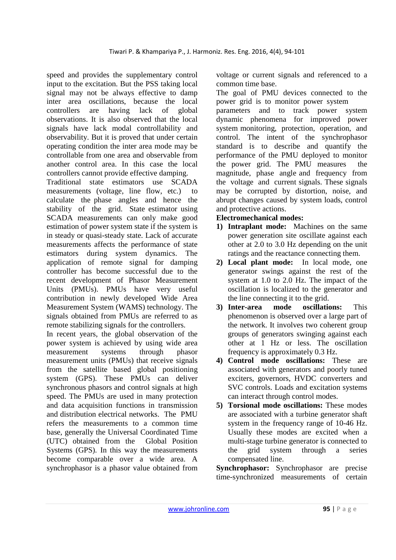speed and provides the supplementary control input to the excitation. But the PSS taking local signal may not be always effective to damp inter area oscillations, because the local controllers are having lack of global observations. It is also observed that the local signals have lack modal controllability and observability. But it is proved that under certain operating condition the inter area mode may be controllable from one area and observable from another control area. In this case the local controllers cannot provide effective damping.

Traditional state estimators use SCADA measurements (voltage, line flow, etc.) to calculate the phase angles and hence the stability of the grid. State estimator using SCADA measurements can only make good estimation of power system state if the system is in steady or quasi-steady state. Lack of accurate measurements affects the performance of state estimators during system dynamics. The application of remote signal for damping controller has become successful due to the recent development of Phasor Measurement Units (PMUs). PMUs have very useful contribution in newly developed Wide Area Measurement System (WAMS) technology. The signals obtained from PMUs are referred to as remote stabilizing signals for the controllers.

In recent years, the global observation of the power system is achieved by using wide area measurement systems through phasor measurement units (PMUs) that receive signals from the satellite based global positioning system (GPS). These PMUs can deliver synchronous phasors and control signals at high speed. The PMUs are used in many protection and data acquisition functions in transmission and distribution electrical networks. The PMU refers the measurements to a common time base, generally the Universal Coordinated Time (UTC) obtained from the Global Position Systems (GPS). In this way the measurements become comparable over a wide area. A synchrophasor is a phasor value obtained from voltage or current signals and referenced to a common time base.

The goal of PMU devices connected to the power grid is to monitor power system

parameters and to track power system dynamic phenomena for improved power system monitoring, protection, operation, and control. The intent of the synchrophasor standard is to describe and quantify the performance of the PMU deployed to monitor the power grid. The PMU measures the magnitude, phase angle and frequency from the voltage and current signals. These signals may be corrupted by distortion, noise, and abrupt changes caused by system loads, control and protective actions.

## **Electromechanical modes:**

- **1) Intraplant mode:** Machines on the same power generation site oscillate against each other at 2.0 to 3.0 Hz depending on the unit ratings and the reactance connecting them.
- **2) Local plant mode:** In local mode, one generator swings against the rest of the system at 1.0 to 2.0 Hz. The impact of the oscillation is localized to the generator and the line connecting it to the grid.
- **3) Inter-area mode oscillations:** This phenomenon is observed over a large part of the network. It involves two coherent group groups of generators swinging against each other at 1 Hz or less. The oscillation frequency is approximately 0.3 Hz.
- **4) Control mode oscillations:** These are associated with generators and poorly tuned exciters, governors, HVDC converters and SVC controls. Loads and excitation systems can interact through control modes.
- **5) Torsional mode oscillations:** These modes are associated with a turbine generator shaft system in the frequency range of 10-46 Hz. Usually these modes are excited when a multi-stage turbine generator is connected to the grid system through a series compensated line.

**Synchrophasor:** Synchrophasor are precise time-synchronized measurements of certain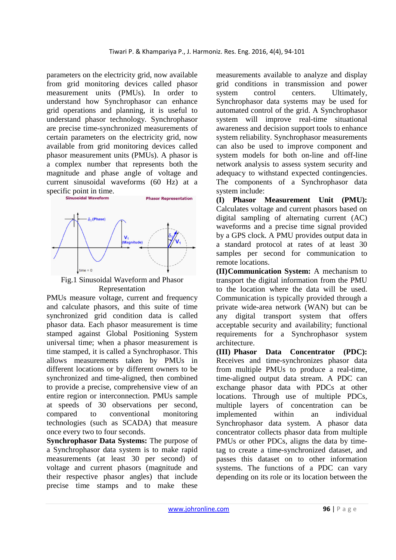parameters on the electricity grid, now available from grid monitoring devices called phasor measurement units (PMUs). In order to understand how Synchrophasor can enhance grid operations and planning, it is useful to understand phasor technology. Synchrophasor are precise time-synchronized measurements of certain parameters on the electricity grid, now available from grid monitoring devices called phasor measurement units (PMUs). A phasor is a complex number that represents both the magnitude and phase angle of voltage and current sinusoidal waveforms (60 Hz) at a specific point in time.<br>
sinusoidal Waveform



Fig.1 Sinusoidal Waveform and Phasor Representation

PMUs measure voltage, current and frequency and calculate phasors, and this suite of time synchronized grid condition data is called phasor data. Each phasor measurement is time stamped against Global Positioning System universal time; when a phasor measurement is time stamped, it is called a Synchrophasor. This allows measurements taken by PMUs in different locations or by different owners to be synchronized and time-aligned, then combined to provide a precise, comprehensive view of an entire region or interconnection. PMUs sample at speeds of 30 observations per second, compared to conventional monitoring technologies (such as SCADA) that measure once every two to four seconds.

**Synchrophasor Data Systems:** The purpose of a Synchrophasor data system is to make rapid measurements (at least 30 per second) of voltage and current phasors (magnitude and their respective phasor angles) that include precise time stamps and to make these

measurements available to analyze and display grid conditions in transmission and power system control centers. Ultimately, Synchrophasor data systems may be used for automated control of the grid. A Synchrophasor system will improve real-time situational awareness and decision support tools to enhance system reliability. Synchrophasor measurements can also be used to improve component and system models for both on-line and off-line network analysis to assess system security and adequacy to withstand expected contingencies. The components of a Synchrophasor data system include:

**(I) Phasor Measurement Unit (PMU):** Calculates voltage and current phasors based on digital sampling of alternating current (AC) waveforms and a precise time signal provided by a GPS clock. A PMU provides output data in a standard protocol at rates of at least 30 samples per second for communication to remote locations.

**(II)Communication System:** A mechanism to transport the digital information from the PMU to the location where the data will be used. Communication is typically provided through a private wide-area network (WAN) but can be any digital transport system that offers acceptable security and availability; functional requirements for a Synchrophasor system architecture.

**(III) Phasor Data Concentrator (PDC):** Receives and time-synchronizes phasor data from multiple PMUs to produce a real-time, time-aligned output data stream. A PDC can exchange phasor data with PDCs at other locations. Through use of multiple PDCs, multiple layers of concentration can be implemented within an individual Synchrophasor data system. A phasor data concentrator collects phasor data from multiple PMUs or other PDCs, aligns the data by timetag to create a time-synchronized dataset, and passes this dataset on to other information systems. The functions of a PDC can vary depending on its role or its location between the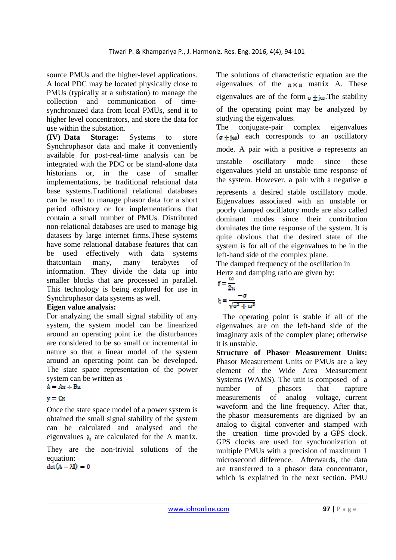source PMUs and the higher-level applications. A local PDC may be located physically close to PMUs (typically at a substation) to manage the collection and communication of timesynchronized data from local PMUs, send it to higher level concentrators, and store the data for use within the substation.

**(IV) Data Storage:** Systems to store Synchrophasor data and make it conveniently available for post-real-time analysis can be integrated with the PDC or be stand-alone data historians or, in the case of smaller implementations, be traditional relational data base systems.Traditional relational databases can be used to manage phasor data for a short period ofhistory or for implementations that contain a small number of PMUs. Distributed non-relational databases are used to manage big datasets by large internet firms.These systems have some relational database features that can be used effectively with data systems thatcontain many, many terabytes of information. They divide the data up into smaller blocks that are processed in parallel. This technology is being explored for use in Synchrophasor data systems as well.

#### **Eigen value analysis:**

For analyzing the small signal stability of any system, the system model can be linearized around an operating point i.e. the disturbances are considered to be so small or incremental in nature so that a linear model of the system around an operating point can be developed. The state space representation of the power system can be written as  $\dot{x} = Ax + Bu$ 

# $y = Cx$

Once the state space model of a power system is obtained the small signal stability of the system can be calculated and analysed and the eigenvalues  $\lambda_i$  are calculated for the A matrix.

They are the non-trivial solutions of the equation:

 $det(A - \lambda I) = 0$ 

The solutions of characteristic equation are the eigenvalues of the  $n \times n$  matrix A. These eigenvalues are of the form  $\sigma + \omega$ . The stability of the operating point may be analyzed by studying the eigenvalues.

The conjugate-pair complex eigenvalues  $(\sigma + i\omega)$  each corresponds to an oscillatory

mode. A pair with a positive  $\sigma$  represents an

unstable oscillatory mode since these eigenvalues yield an unstable time response of the system. However, a pair with a negative  $\sigma$ 

represents a desired stable oscillatory mode. Eigenvalues associated with an unstable or poorly damped oscillatory mode are also called dominant modes since their contribution dominates the time response of the system. It is quite obvious that the desired state of the system is for all of the eigenvalues to be in the left-hand side of the complex plane.

The damped frequency of the oscillation in Hertz and damping ratio are given by:

$$
f = \frac{\omega}{2\pi}
$$

$$
\xi = \frac{-\sigma}{\sqrt{\sigma^2 + \omega^2}}
$$

The operating point is stable if all of the eigenvalues are on the left-hand side of the imaginary axis of the complex plane; otherwise it is unstable.

**Structure of Phasor Measurement Units:**  Phasor Measurement Units or PMUs are a key element of the Wide Area Measurement Systems (WAMS). The unit is composed of a number of phasors that capture measurements of analog voltage, current waveform and the line frequency. After that, the phasor measurements are digitized by an analog to digital converter and stamped with the creation time provided by a GPS clock. GPS clocks are used for synchronization of multiple PMUs with a precision of maximum 1 microsecond difference. Afterwards, the data are transferred to a phasor data concentrator, which is explained in the next section. PMU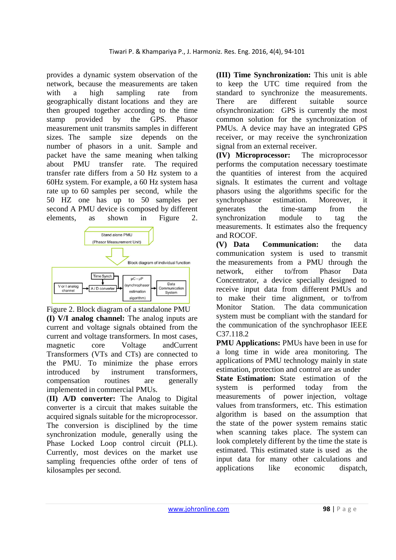provides a dynamic system observation of the network, because the measurements are taken with a high sampling rate from geographically distant locations and they are then grouped together according to the time stamp provided by the GPS. Phasor measurement unit transmits samples in different sizes. The sample size depends on the number of phasors in a unit. Sample and packet have the same meaning when talking about PMU transfer rate. The required transfer rate differs from a 50 Hz system to a 60Hz system. For example, a 60 Hz system hasa rate up to 60 samples per second, while the 50 HZ one has up to 50 samples per second A PMU device is composed by different elements, as shown in Figure 2.



Figure 2. Block diagram of a standalone PMU **(I) V/I analog channel:** The analog inputs are current and voltage signals obtained from the current and voltage transformers. In most cases, magnetic core Voltage andCurrent Transformers (VTs and CTs) are connected to the PMU. To minimize the phase errors introduced by instrument transformers, compensation routines are generally implemented in commercial PMUs.

(**II) A/D converter:** The Analog to Digital converter is a circuit that makes suitable the acquired signals suitable for the microprocessor. The conversion is disciplined by the time synchronization module, generally using the Phase Locked Loop control circuit (PLL). Currently, most devices on the market use sampling frequencies ofthe order of tens of kilosamples per second.

**(III) Time Synchronization:** This unit is able to keep the UTC time required from the standard to synchronize the measurements. There are different suitable source ofsynchronization: GPS is currently the most common solution for the synchronization of PMUs. A device may have an integrated GPS receiver, or may receive the synchronization signal from an external receiver.

**(IV) Microprocessor:** The microprocessor performs the computation necessary toestimate the quantities of interest from the acquired signals. It estimates the current and voltage phasors using the algorithms specific for the synchrophasor estimation. Moreover, it generates the time-stamp from the synchronization module to tag the measurements. It estimates also the frequency and ROCOF.

**(V) Data Communication:** the data communication system is used to transmit the measurements from a PMU through the network, either to/from Phasor Data Concentrator, a device specially designed to receive input data from different PMUs and to make their time alignment, or to/from Monitor Station. The data communication system must be compliant with the standard for the communication of the synchrophasor IEEE C37.118.2

**PMU Applications:** PMUs have been in use for a long time in wide area monitoring. The applications of PMU technology mainly in state estimation, protection and control are as under

**State Estimation:** State estimation of the system is performed today from the measurements of power injection, voltage values from transformers, etc. This estimation algorithm is based on the assumption that the state of the power system remains static when scanning takes place. The system can look completely different by the time the state is estimated. This estimated state is used as the input data for many other calculations and applications like economic dispatch,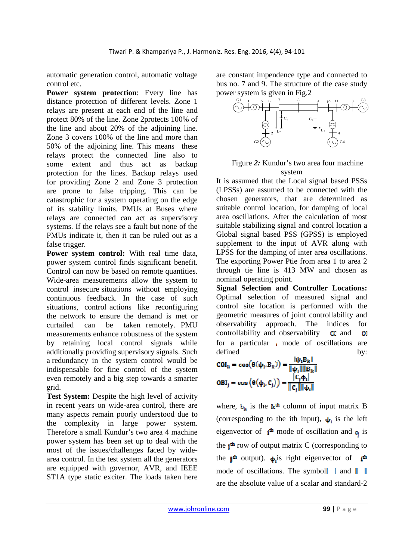automatic generation control, automatic voltage control etc.

**Power system protection**: Every line has distance protection of different levels. Zone 1 relays are present at each end of the line and protect 80% of the line. Zone 2protects 100% of the line and about 20% of the adjoining line. Zone 3 covers 100% of the line and more than 50% of the adjoining line. This means these relays protect the connected line also to some extent and thus act as backup protection for the lines. Backup relays used for providing Zone 2 and Zone 3 protection are prone to false tripping. This can be catastrophic for a system operating on the edge of its stability limits. PMUs at Buses where relays are connected can act as supervisory systems. If the relays see a fault but none of the PMUs indicate it, then it can be ruled out as a false trigger.

**Power system control:** With real time data, power system control finds significant benefit. Control can now be based on remote quantities. Wide-area measurements allow the system to control insecure situations without employing continuous feedback. In the case of such situations, control actions like reconfiguring the network to ensure the demand is met or curtailed can be taken remotely. PMU measurements enhance robustness of the system by retaining local control signals while additionally providing supervisory signals. Such a redundancy in the system control would be indispensable for fine control of the system even remotely and a big step towards a smarter grid.

Test System: Despite the high level of activity in recent years on wide-area control, there are many aspects remain poorly understood due to the complexity in large power system. Therefore a small Kundur's two area 4 machine power system has been set up to deal with the most of the issues/challenges faced by widearea control. In the test system all the generators are equipped with governor, AVR, and IEEE ST1A type static exciter. The loads taken here

are constant impendence type and connected to bus no. 7 and 9. The structure of the case study power system is given in Fig.2



## Figure *2:* Kundur's two area four machine system

It is assumed that the Local signal based PSSs (LPSSs) are assumed to be connected with the chosen generators, that are determined as suitable control location, for damping of local area oscillations. After the calculation of most suitable stabilizing signal and control location a Global signal based PSS (GPSS) is employed supplement to the input of AVR along with LPSS for the damping of inter area oscillations. The exporting Power Ptie from area 1 to area 2 through tie line is 413 MW and chosen as nominal operating point.

**Signal Selection and Controller Locations:**  Optimal selection of measured signal and control site location is performed with the geometric measures of joint controllability and observability approach. The indices for controllability and observability  $\alpha$  and  $\mathbf{O}$ for a particular  $\mu$  mode of oscillations are defined by:

$$
COI_k = \cos(\theta(\psi_1, B_k)) = \frac{|\psi_1 B_k|}{\|\psi_1\| \|B_k\|}
$$
  

$$
OBI_j = \cos(\theta(\phi_1, C_j)) = \frac{|C_j \phi_1|}{\|C_j\| \|\phi_1\|}
$$

where,  $\mathbf{b}_k$  is the  $\mathbf{k}^{\text{th}}$  column of input matrix B (corresponding to the ith input),  $\psi_1$  is the left eigenvector of  $\mathbf{i}^{\text{th}}$  mode of oscillation and  $\mathbf{c}_i$  is the  $i<sup>th</sup>$  row of output matrix C (corresponding to the  $\mathbf{I}^{\text{th}}$  output).  $\mathbf{\phi}_1$  is right eigenvector of  $\mathbf{I}^{\text{th}}$ mode of oscillations. The symbol  $\parallel$  and  $\parallel$   $\parallel$ are the absolute value of a scalar and standard-2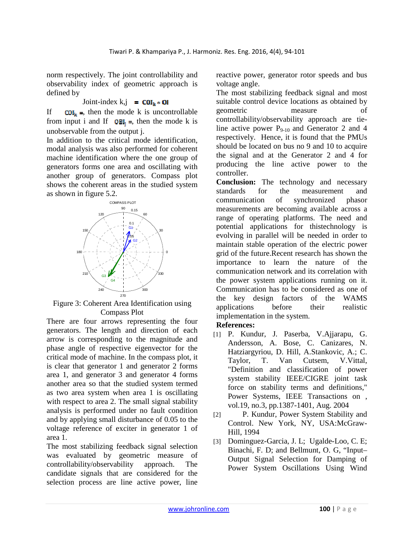norm respectively. The joint controllability and observability index of geometric approach is defined by

Joint-index k,j = 
$$
\text{COL}_k \cdot \text{OL}
$$

If  $COI_k =$ , then the mode k is uncontrollable from input i and If  $OBI_i =$ , then the mode k is unobservable from the output j.

In addition to the critical mode identification, modal analysis was also performed for coherent machine identification where the one group of generators forms one area and oscillating with another group of generators. Compass plot shows the coherent areas in the studied system as shown in figure 5.2.



Figure 3: Coherent Area Identification using Compass Plot

There are four arrows representing the four generators. The length and direction of each arrow is corresponding to the magnitude and phase angle of respective eigenvector for the critical mode of machine. In the compass plot, it is clear that generator 1 and generator 2 forms area 1, and generator 3 and generator 4 forms another area so that the studied system termed as two area system when area 1 is oscillating with respect to area 2. The small signal stability analysis is performed under no fault condition and by applying small disturbance of 0.05 to the voltage reference of exciter in generator 1 of area 1.

The most stabilizing feedback signal selection was evaluated by geometric measure of controllability/observability approach. The candidate signals that are considered for the selection process are line active power, line

reactive power, generator rotor speeds and bus voltage angle.

The most stabilizing feedback signal and most suitable control device locations as obtained by geometric measure of controllability/observability approach are tieline active power  $P_{9-10}$  and Generator 2 and 4 respectively. Hence, it is found that the PMUs should be located on bus no 9 and 10 to acquire the signal and at the Generator 2 and 4 for producing the line active power to the controller.

**Conclusion:** The technology and necessary standards for the measurement and communication of synchronized phasor measurements are becoming available across a range of operating platforms. The need and potential applications for thistechnology is evolving in parallel will be needed in order to maintain stable operation of the electric power grid of the future.Recent research has shown the importance to learn the nature of the communication network and its correlation with the power system applications running on it. Communication has to be considered as one of the key design factors of the WAMS applications before their realistic implementation in the system.

## **References:**

- [1] P. Kundur, J. Paserba, V.Ajjarapu, G. Andersson, A. Bose, C. Canizares, N. Hatziargyriou, D. Hill, A.Stankovic, A.; C. Taylor, T. Van Cutsem, V.Vittal, "Definition and classification of power system stability IEEE/CIGRE joint task force on stability terms and definitions," Power Systems, IEEE Transactions on , vol.19, no.3, pp.1387-1401, Aug. 2004
- [2] P. Kundur, Power System Stability and Control. New York, NY, USA:McGraw-Hill, 1994
- [3] Dominguez-Garcia, J. L; Ugalde-Loo, C. E; Binachi, F. D; and Bellmunt, O. G, "Input– Output Signal Selection for Damping of Power System Oscillations Using Wind